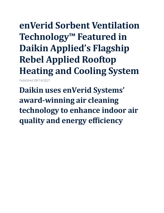## **enVerid Sorbent Ventilation Technology™ Featured in Daikin Applied's Flagship Rebel Applied Rooftop Heating and Cooling System**

*Published 09/14/2021*

**Daikin uses enVerid Systems' award-winning air cleaning technology to enhance indoor air quality and energy efficiency**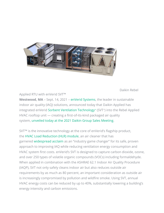

Daikin Rebel

Applied RTU with enVerid SVT™

**Westwood, MA** – Sept. 14, 2021 – [enVerid Systems,](https://enverid.com/) the leader in sustainable indoor air quality (IAQ) solutions, announced today that Daikin Applied has integrated enVerid [Sorbent Ventilation Technology](https://enverid.com/products/sorbent-ventilation-technology/)[™](https://enverid.com/products/sorbent-ventilation-technology/) (SVT™ ) into the Rebel Applied HVAC rooftop unit — creating a first-of-its-kind packaged air quality system, [unveiled today at the 2021 Daikin Group Sales Meeting.](https://www.daikinapplied.com/news/news/daikin-applied-boosts-iaq-with-upgraded-rebel-applied-rooftop-heating-and-cooling-system)

SVT™ is the innovative technology at the core of enVerid's flagship product, the [HVAC Load Reduction \(HLR\) module,](https://enverid.com/products/hvac-load-reduction-modules/) an air cleaner that has garnered [widespread acclaim](https://www.ashrae.org/news/ashraejournal/enverid-s-indoor-air-scrubber-named-product-of-the-year) as an "industry game changer" for its safe, proven approach to improving IAQ while reducing ventilation energy consumption and HVAC system first costs. enVerid's SVT is designed to capture carbon dioxide, ozone, and over 250 types of volatile organic compounds (VOCs) including formaldehyde. When applied in combination with the ASHRAE 62.1 Indoor Air Quality Procedure (IAQP), SVT not only safely cleans indoor air but also reduces outside air requirements by as much as 80 percent, an important consideration as outside air is increasingly compromised by pollution and wildfire smoke. Using SVT, annual HVAC energy costs can be reduced by up to 40%, substantially lowering a building's energy intensity and carbon emissions.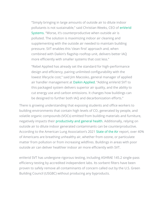"Simply bringing in large amounts of outside air to dilute indoor pollutants is not sustainable," said Christian Weeks, CEO of [enVerid](https://enverid.com/)  [Systems](https://enverid.com/). "Worse, it's counterproductive when outside air is polluted. The solution is maximizing indoor air cleaning and supplementing with the outside air needed to maintain building pressure. SVT enables this 'clean first' approach and, when combined with Daikin's flagship rooftop unit, delivers better IAQ more efficiently with smaller systems that cost less."

"Rebel Applied has already set the standard for high-performance design and efficiency, pairing unlimited configurability with the lowest lifecycle cost," said Jim Macosko, general manager of applied air handler management at [Daikin Applied](https://www.daikinapplied.com/). "Adding enVerid SVT to this packaged system delivers superior air quality, and the ability to cut energy use and carbon emissions. It changes how buildings can be designed to further both IAQ and decarbonization efforts."

There is growing understanding that exposing students and office workers to building environments that contain high levels of  $CO<sub>2</sub>$  generated by people, and volatile organic compounds (VOCs) emitted from building materials and furniture, negatively impacts their [productivity and general health.](https://green.harvard.edu/tools-resources/research-highlight/impact-green-buildings-cognitive-function) Additionally, relying on outside air to dilute indoor generated contaminants can be counterproductive. According to the American Lung Association's 2021 [State of the Air](https://www.lung.org/research/sota/key-findings) report, over 40% of Americans are breathing unhealthy air, whether from ozone, or particulate matter from pollution or from increasing wildfires. Buildings in areas with poor outside air can deliver healthier indoor air more efficiently with SVT.

enVerid SVT has undergone rigorous testing, including ASHRAE 145.2 single-pass efficiency testing by accredited independent labs. Its sorbent filters have been proven to safely remove all contaminants of concern called out by the U.S. Green Building Council (USGBC) without producing any byproducts.